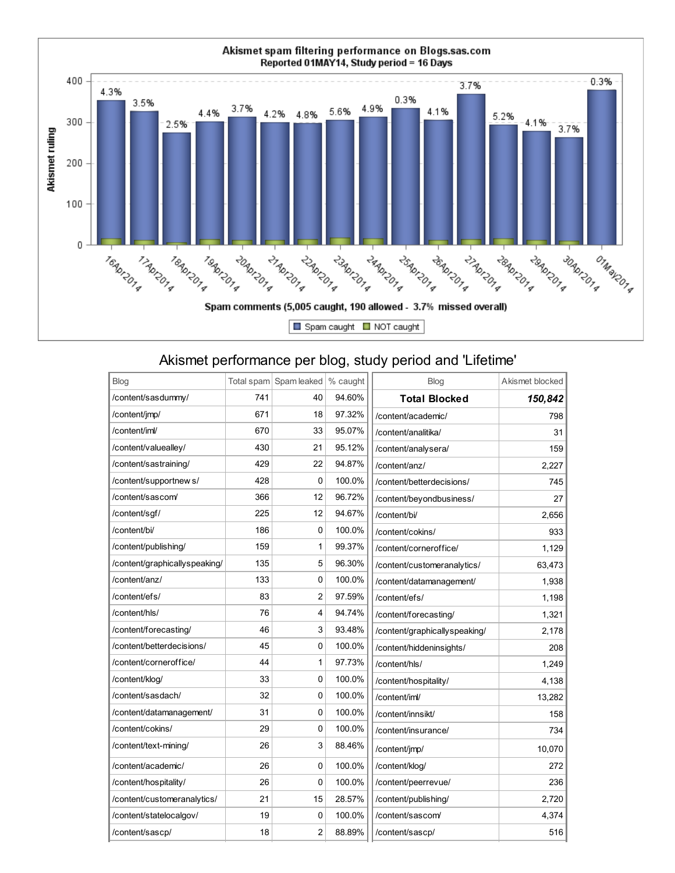

## Akismet performance per blog, study period and 'Lifetime'

| Blog                          |     | Total spam Spam leaked | % caught | Blog                          | Akismet blocked |
|-------------------------------|-----|------------------------|----------|-------------------------------|-----------------|
| /content/sasdummy/            | 741 | 40                     | 94.60%   | <b>Total Blocked</b>          | 150.842         |
| /content/jmp/                 | 671 | 18                     | 97.32%   | /content/academic/            | 798             |
| /content/iml/                 | 670 | 33                     | 95.07%   | /content/analitika/           | 31              |
| /content/valuealley/          | 430 | 21                     | 95.12%   | /content/analysera/           | 159             |
| /content/sastraining/         | 429 | 22                     | 94.87%   | /content/anz/                 | 2,227           |
| /content/supportnew s/        | 428 | 0                      | 100.0%   | /content/betterdecisions/     | 745             |
| /content/sascom/              | 366 | 12                     | 96.72%   | /content/beyondbusiness/      | 27              |
| /content/sgf/                 | 225 | 12                     | 94.67%   | /content/bi/                  | 2,656           |
| /content/bi/                  | 186 | 0                      | 100.0%   | /content/cokins/              | 933             |
| /content/publishing/          | 159 | 1                      | 99.37%   | /content/corneroffice/        | 1,129           |
| /content/graphicallyspeaking/ | 135 | 5                      | 96.30%   | /content/customeranalytics/   | 63,473          |
| /content/anz/                 | 133 | 0                      | 100.0%   | /content/datamanagement/      | 1,938           |
| /content/efs/                 | 83  | 2                      | 97.59%   | /content/efs/                 | 1,198           |
| /content/hls/                 | 76  | 4                      | 94.74%   | /content/forecasting/         | 1,321           |
| /content/forecasting/         | 46  | 3                      | 93.48%   | /content/graphicallyspeaking/ | 2,178           |
| /content/betterdecisions/     | 45  | 0                      | 100.0%   | /content/hiddeninsights/      | 208             |
| /content/corneroffice/        | 44  | 1                      | 97.73%   | /content/hls/                 | 1.249           |
| /content/klog/                | 33  | 0                      | 100.0%   | /content/hospitality/         | 4,138           |
| /content/sasdach/             | 32  | 0                      | 100.0%   | /content/iml/                 | 13,282          |
| /content/datamanagement/      | 31  | 0                      | 100.0%   | /content/innsikt/             | 158             |
| /content/cokins/              | 29  | 0                      | 100.0%   | /content/insurance/           | 734             |
| /content/text-mining/         | 26  | 3                      | 88.46%   | /content/jmp/                 | 10,070          |
| /content/academic/            | 26  | 0                      | 100.0%   | /content/klog/                | 272             |
| /content/hospitality/         | 26  | 0                      | 100.0%   | /content/peerrevue/           | 236             |
| /content/customeranalytics/   | 21  | 15                     | 28.57%   | /content/publishing/          | 2.720           |
| /content/statelocalgov/       | 19  | 0                      | 100.0%   | /content/sascom/              | 4,374           |
| /content/sascp/               | 18  | $\overline{c}$         | 88.89%   | /content/sascp/               | 516             |
|                               |     |                        |          |                               |                 |